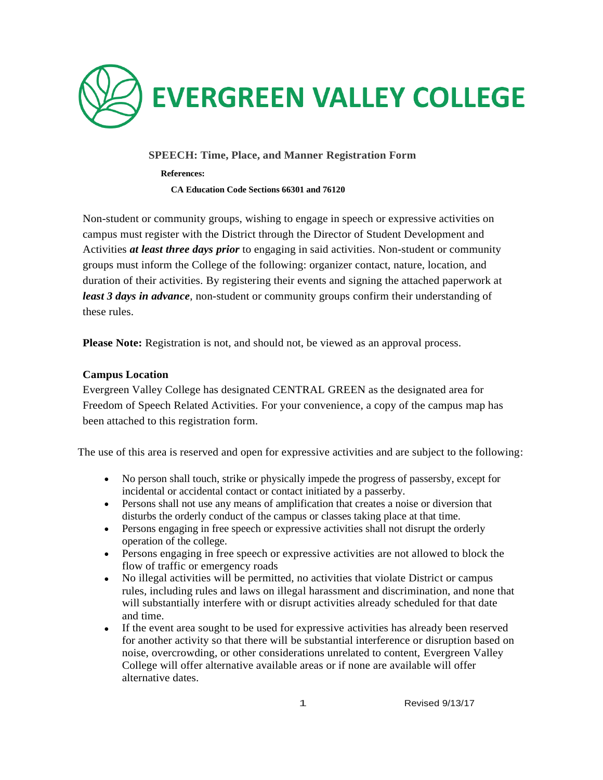

## **SPEECH: Time, Place, and Manner Registration Form**

 **References:**

 **CA Education Code Sections 66301 and 76120**

Non-student or community groups, wishing to engage in speech or expressive activities on campus must register with the District through the Director of Student Development and Activities *at least three days prior* to engaging in said activities. Non-student or community groups must inform the College of the following: organizer contact, nature, location, and duration of their activities. By registering their events and signing the attached paperwork at *least 3 days in advance*, non-student or community groups confirm their understanding of these rules.

**Please Note:** Registration is not, and should not, be viewed as an approval process.

### **Campus Location**

Evergreen Valley College has designated CENTRAL GREEN as the designated area for Freedom of Speech Related Activities. For your convenience, a copy of the campus map has been attached to this registration form.

The use of this area is reserved and open for expressive activities and are subject to the following:

- No person shall touch, strike or physically impede the progress of passersby, except for incidental or accidental contact or contact initiated by a passerby.
- Persons shall not use any means of amplification that creates a noise or diversion that disturbs the orderly conduct of the campus or classes taking place at that time.
- Persons engaging in free speech or expressive activities shall not disrupt the orderly operation of the college.
- Persons engaging in free speech or expressive activities are not allowed to block the flow of traffic or emergency roads
- No illegal activities will be permitted, no activities that violate District or campus rules, including rules and laws on illegal harassment and discrimination, and none that will substantially interfere with or disrupt activities already scheduled for that date and time.
- If the event area sought to be used for expressive activities has already been reserved for another activity so that there will be substantial interference or disruption based on noise, overcrowding, or other considerations unrelated to content, Evergreen Valley College will offer alternative available areas or if none are available will offer alternative dates.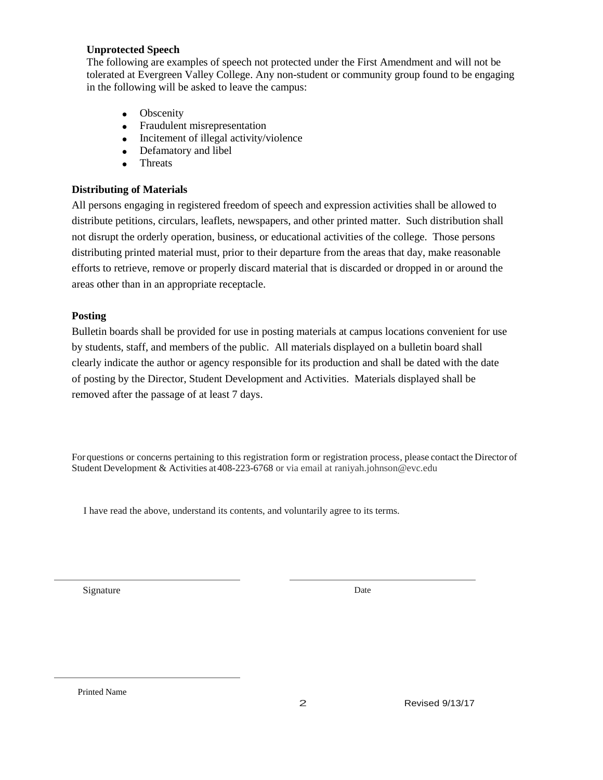#### **Unprotected Speech**

The following are examples of speech not protected under the First Amendment and will not be tolerated at Evergreen Valley College. Any non-student or community group found to be engaging in the following will be asked to leave the campus:

- Obscenity
- Fraudulent misrepresentation
- Incitement of illegal activity/violence
- Defamatory and libel
- Threats

## **Distributing of Materials**

All persons engaging in registered freedom of speech and expression activities shall be allowed to distribute petitions, circulars, leaflets, newspapers, and other printed matter. Such distribution shall not disrupt the orderly operation, business, or educational activities of the college. Those persons distributing printed material must, prior to their departure from the areas that day, make reasonable efforts to retrieve, remove or properly discard material that is discarded or dropped in or around the areas other than in an appropriate receptacle.

# **Posting**

Bulletin boards shall be provided for use in posting materials at campus locations convenient for use by students, staff, and members of the public. All materials displayed on a bulletin board shall clearly indicate the author or agency responsible for its production and shall be dated with the date of posting by the Director, Student Development and Activities. Materials displayed shall be removed after the passage of at least 7 days.

For questions or concerns pertaining to this registration form or registration process, please contact the Director of Student Development & Activities at408-223-6768 or via email at raniyah.johnson@evc.edu

I have read the above, understand its contents, and voluntarily agree to its terms.

Signature Date

Printed Name